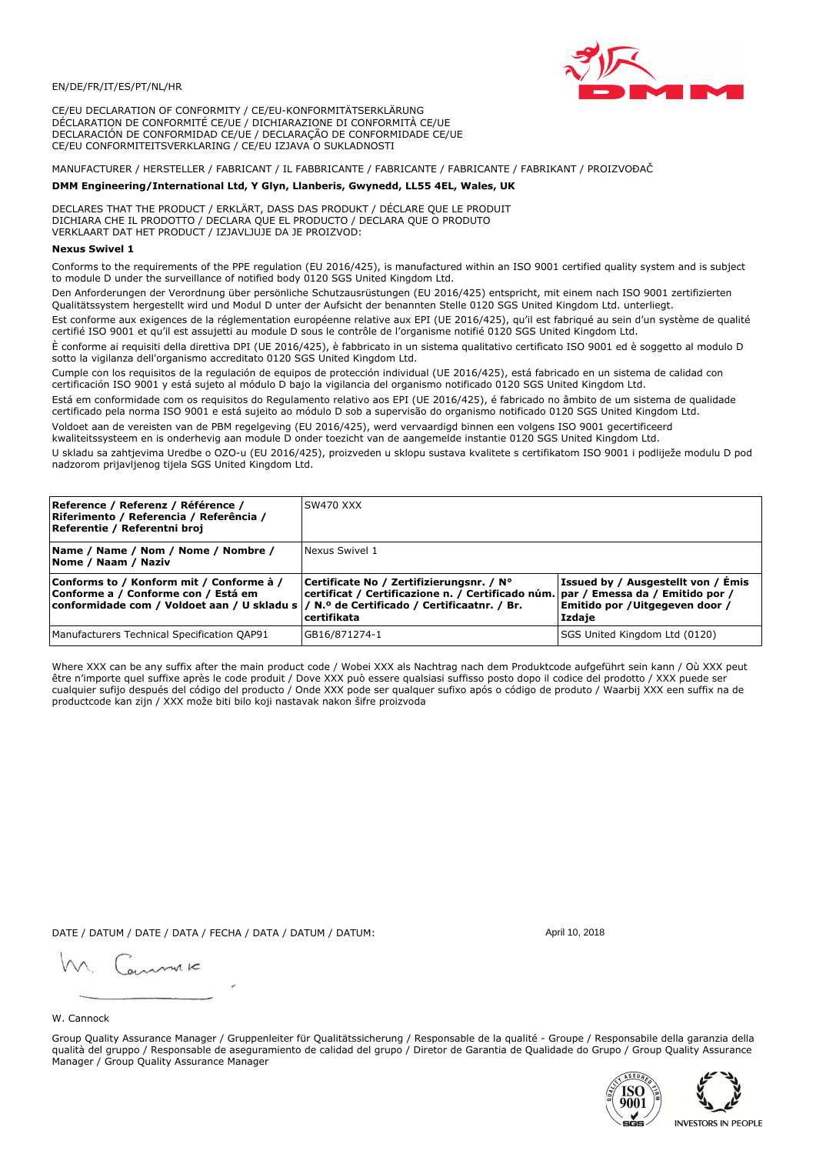

CE/EU DECLARATION OF CONFORMITY / CE/EU-KONFORMITÄTSERKLÄRUNG DÉCLARATION DE CONFORMITÉ CE/UE / DICHIARAZIONE DI CONFORMITÀ CE/UE DECLARACIÓN DE CONFORMIDAD CE/UE / DECLARAÇÃO DE CONFORMIDADE CE/UE CE/EU CONFORMITEITSVERKLARING / CE/EU IZJAVA O SUKLADNOSTI

# MANUFACTURER / HERSTELLER / FABRICANT / IL FABBRICANTE / FABRICANTE / FABRICANTE / FABRIKANT / PROIZVOĐAČ

## DMM Engineering/International Ltd, Y Glyn, Llanberis, Gwynedd, LL55 4EL, Wales, UK

DECLARES THAT THE PRODUCT / ERKLÄRT, DASS DAS PRODUKT / DÉCLARE QUE LE PRODUIT<br>DICHIARA CHE IL PRODOTTO / DECLARA QUE EL PRODUCTO / DECLARA QUE O PRODUTO VERKLAART DAT HET PRODUCT / IZJAVLJUJE DA JE PROIZVOD:

### **Nexus Swivel 1**

Conforms to the requirements of the PPE regulation (EU 2016/425), is manufactured within an ISO 9001 certified quality system and is subject to module D under the surveillance of notified body 0120 SGS United Kingdom Ltd.

Den Anforderungen der Verordnung über persönliche Schutzausrüstungen (EU 2016/425) entspricht, mit einem nach ISO 9001 zertifizierten Qualitätssystem hergestellt wird und Modul D unter der Aufsicht der benannten Stelle 0120 SGS United Kingdom Ltd. unterliegt.

Est conforme aux exigences de la réglementation européenne relative aux EPI (UE 2016/425), qu'il est fabriqué au sein d'un système de qualité certifié ISO 9001 et qu'il est assujetti au module D sous le contrôle de l'organisme notifié 0120 SGS United Kingdom Ltd.

È conforme ai requisiti della direttiva DPI (UE 2016/425), è fabbricato in un sistema qualitativo certificato ISO 9001 ed è soggetto al modulo D sotto la vigilanza dell'organismo accreditato 0120 SGS United Kingdom Ltd.

Cumple con los requisitos de la regulación de equipos de protección individual (UE 2016/425), está fabricado en un sistema de calidad con certificación ISO 9001 y está sujeto al módulo D bajo la vigilancia del organismo notificado 0120 SGS United Kingdom Ltd.

Está em conformidade com os requisitos do Regulamento relativo aos EPI (UE 2016/425), é fabricado no âmbito de um sistema de qualidade certificado pela norma ISO 9001 e está sujeito ao módulo D sob a supervisão do organismo notificado 0120 SGS United Kingdom Ltd. Voldoet aan de vereisten van de PBM regelgeving (EU 2016/425), werd vervaardigd binnen een volgens ISO 9001 gecertificeerd

kwaliteitssysteem en is onderhevig aan module D onder toezicht van de aangemelde instantie 0120 SGS United Kingdom Ltd.

U skladu sa zahtjevima Uredbe o OZO-u (EU 2016/425), proizveden u sklopu sustava kvalitete s certifikatom ISO 9001 i podliježe modulu D pod nadzorom prijavljenog tijela SGS United Kingdom Ltd.

| Reference / Referenz / Référence /<br>Riferimento / Referencia / Referência /<br>Referentie / Referentni broj                                                               | <b>SW470 XXX</b>                                                                                                                             |                                                                                |
|-----------------------------------------------------------------------------------------------------------------------------------------------------------------------------|----------------------------------------------------------------------------------------------------------------------------------------------|--------------------------------------------------------------------------------|
| Name / Name / Nom / Nome / Nombre /<br>Nome / Naam / Naziv                                                                                                                  | Nexus Swivel 1                                                                                                                               |                                                                                |
| Conforms to / Konform mit / Conforme à /<br>Conforme a / Conforme con / Está em<br>conformidade com / Voldoet aan / U skladu s  / N.º de Certificado / Certificaatnr. / Br. | Certificate No / Zertifizierungsnr. / N°<br>certificat / Certificazione n. / Certificado núm. par / Emessa da / Emitido por /<br>certifikata | Issued by / Ausgestellt von / Émis<br>Emitido por /Uitgegeven door /<br>Izdaje |
| Manufacturers Technical Specification QAP91                                                                                                                                 | GB16/871274-1                                                                                                                                | SGS United Kingdom Ltd (0120)                                                  |

Where XXX can be any suffix after the main product code / Wobei XXX als Nachtrag nach dem Produktcode aufgeführt sein kann / Où XXX peut etre n'importe quel suffixe après le code produit / Dove XXX può essere qualsiasi suffisso posto dopo il codice del prodotto / XXX puede ser<br>cualquier sufijo después del código del producto / Onde XXX pode ser qualquer suf productcode kan zijn / XXX može biti bilo koji nastavak nakon šifre proizvoda

DATE / DATUM / DATE / DATA / FECHA / DATA / DATUM / DATUM:

gimmic

April 10, 2018

## W. Cannock

Group Quality Assurance Manager / Gruppenleiter für Qualitätssicherung / Responsable de la qualité - Groupe / Responsabile della garanzia della qualità del gruppo / Responsable de aseguramiento de calidad del grupo / Diretor de Garantia de Qualidade do Grupo / Group Quality Assurance Manager / Group Quality Assurance Manager



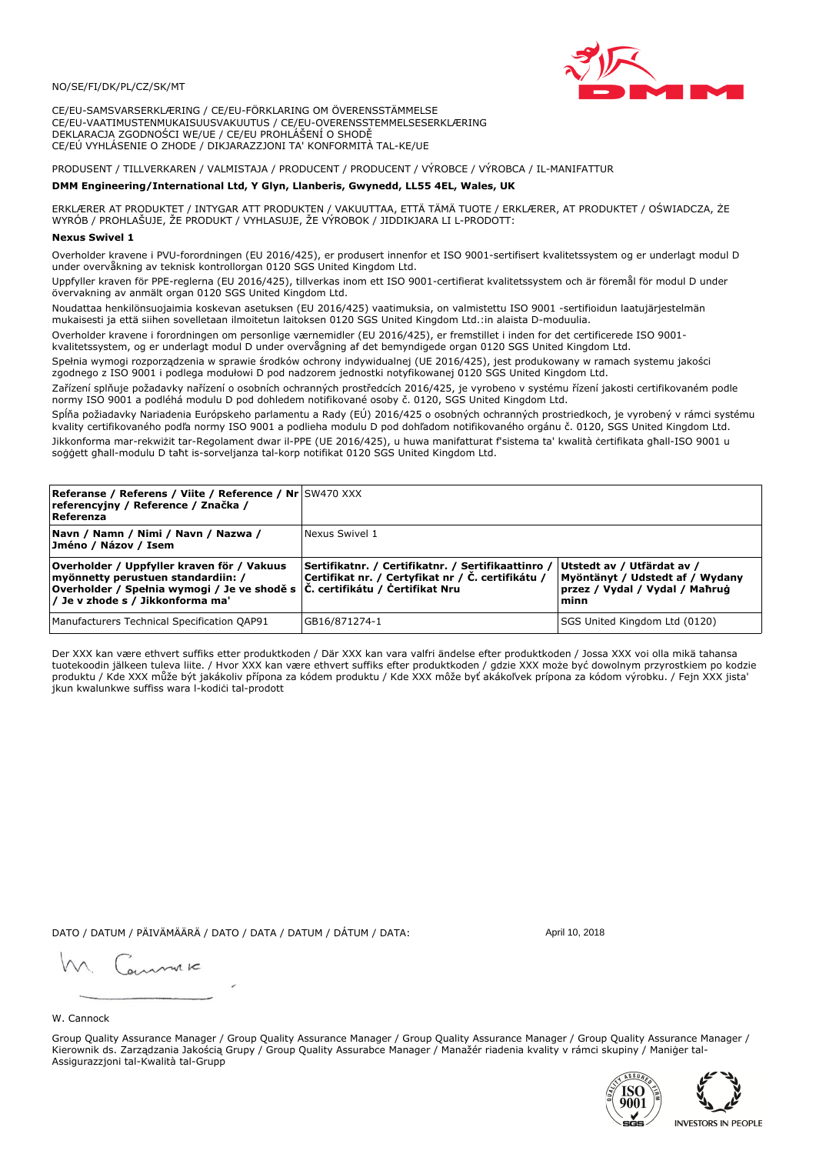### NO/SE/FI/DK/PL/CZ/SK/MT

CE/EU-SAMSVARSERKLÆRING / CE/EU-FÖRKLARING OM ÖVERENSSTÄMMELSE CE/EU-VAATIMUSTENMUKAISUUSVAKUUTUS / CE/EU-OVERENSSTEMMELSESERKLÆRING DEKLARACJA ZGODNOŚCI WE/UE / CE/EU PROHLÁŠENÍ O SHODĚ CE/EÚ VYHLÁSENIE O ZHODE / DIKJARAZZJONI TA' KONFORMITÀ TAL-KE/UE

# PRODUSENT / TILLVERKAREN / VALMISTAJA / PRODUCENT / PRODUCENT / VÝROBCE / VÝROBCA / IL-MANIFATTUR

### DMM Engineering/International Ltd, Y Glyn, Llanberis, Gwynedd, LL55 4EL, Wales, UK

ERKLÆRER AT PRODUKTET / INTYGAR ATT PRODUKTEN / VAKUUTTAA, ETTÄ TÄMÄ TUOTE / ERKLÆRER, AT PRODUKTET / OŚWIADCZA, ŻE<br>WYRÓB / PROHLAŠUJE, ŽE PRODUKT / VYHLASUJE, ŽE VÝROBOK / JIDDIKJARA LI L-PRODOTT:

Overholder kravene i PVU-forordningen (EU 2016/425), er produsert innenfor et ISO 9001-sertifisert kvalitetssystem og er underlagt modul D<br>under overvåkning av teknisk kontrollorgan 0120 SGS United Kingdom Ltd.

Uppfyller kraven för PPE-reglerna (EU 2016/425), tillverkas inom ett ISO 9001-certifierat kvalitetssystem och är föremål för modul D under övervakning av anmält organ 0120 SGS United Kingdom Ltd.

Noudattaa henkilönsuojaimia koskevan asetuksen (EU 2016/425) vaatimuksia, on valmistettu ISO 9001 -sertifioidun laatujärjestelmän mukaisesti ja että siihen sovelletaan ilmoitetun laitoksen 0120 SGS United Kingdom Ltd.:in alaista D-moduulia.

Overholder kravene i forordningen om personlige værnemidler (EU 2016/425), er fremstillet i inden for det certificerede ISO 9001kvalitetssystem, og er underlagt modul D under overvågning af det bemyndigede organ 0120 SGS United Kingdom Ltd.

Spełnia wymogi rozporządzenia w sprawie środków ochrony indywidualnej (UE 2016/425), jest produkowany w ramach systemu jakości zgodnego z ISO 9001 i podlega modułowi D pod nadzorem jednostki notyfikowanej 0120 SGS United Kingdom Ltd.

Zařízení splňuje požadavky nařízení o osobních ochranných prostředcích 2016/425, je vyrobeno v systému řízení jakosti certifikovaném podle normy ISO 9001 a podléhá modulu D pod dohledem notifikované osoby č. 0120, SGS United Kingdom Ltd.

Spĺňa požiadavky Nariadenia Európskeho parlamentu a Rady (EÚ) 2016/425 o osobných ochranných prostriedkoch, je vyrobený v rámci systému kvality certifikovaného podľa normy ISO 9001 a podlieha modulu D pod dohľadom notifikovaného orgánu č. 0120, SGS Únited Kingdom Ltd. Jikkonforma mar-rekwiżit tar-Regolament dwar il-PPE (UE 2016/425), u huwa manifatturat f'sistema ta' kwalità certifikata għall-ISO 9001 u soggett ghall-modulu D taht is-sorveljanza tal-korp notifikat 0120 SGS United Kingdom Ltd.

| <b>Referanse / Referens / Viite / Reference / Nr SW470 XXX</b><br>referencyjny / Reference / Značka /<br>Referenza                                                                                     |                                                                                                         |                                                                                                         |
|--------------------------------------------------------------------------------------------------------------------------------------------------------------------------------------------------------|---------------------------------------------------------------------------------------------------------|---------------------------------------------------------------------------------------------------------|
| Navn / Namn / Nimi / Navn / Nazwa /<br>Jméno / Názov / Isem                                                                                                                                            | l Nexus Swivel 1                                                                                        |                                                                                                         |
| Overholder / Uppfyller kraven för / Vakuus<br>myönnetty perustuen standardiin: /<br> Overholder / Spełnia wymogi / Je ve shodě s  Č. certifikátu / Certifikat Nru<br> / Je v zhode s / Jikkonforma ma' | Sertifikatnr. / Certifikatnr. / Sertifikaattinro /<br>Certifikat nr. / Certyfikat nr / Č. certifikátu / | Utstedt av / Utfärdat av /<br>Myöntänyt / Udstedt af / Wydany<br>przez / Vydal / Vydal / Maħruġ<br>minn |
| Manufacturers Technical Specification QAP91                                                                                                                                                            | GB16/871274-1                                                                                           | SGS United Kingdom Ltd (0120)                                                                           |

Der XXX kan være ethvert suffiks etter produktkoden / Där XXX kan vara valfri ändelse efter produktkoden / Jossa XXX voi olla mikä tahansa tuotekoodin jälkeen tuleva liite. / Hvor XXX kan være ethvert suffiks efter produktkoden / gdzie XXX może być dowolnym przyrostkiem po kodzie produktu / Kde XXX může být jakákoliv přípona za kódem produktu / Kde XXX môže byť akákoľvek prípona za kódom výrobku. / Fejn XXX jista jkun kwalunkwe suffiss wara l-kodici tal-prodott

DATO / DATUM / PÄIVÄMÄÄRÄ / DATO / DATA / DATUM / DÁTUM / DATA:

April 10, 2018

annuic

## W. Cannock

Group Quality Assurance Manager / Group Quality Assurance Manager / Group Quality Assurance Manager / Group Quality Assurance Manager / Kierownik ds. Zarządzania Jakością Grupy / Group Quality Assurabce Manager / Manažér riadenia kvality v rámci skupiny / Maniger tal-Assigurazzjoni tal-Kwalità tal-Grupp